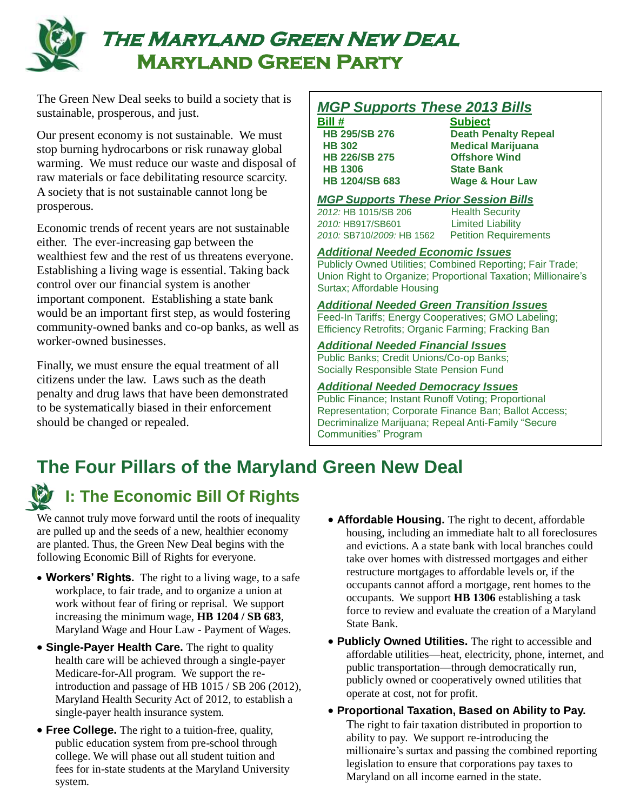

# **The Maryland Green New Deal Maryland Green Party**

The Green New Deal seeks to build a society that is sustainable, prosperous, and just.

Our present economy is not sustainable. We must stop burning hydrocarbons or risk runaway global warming. We must reduce our waste and disposal of raw materials or face debilitating resource scarcity. A society that is not sustainable cannot long be prosperous.

Economic trends of recent years are not sustainable either. The ever-increasing gap between the wealthiest few and the rest of us threatens everyone. Establishing a living wage is essential. Taking back control over our financial system is another important component. Establishing a state bank would be an important first step, as would fostering community-owned banks and co-op banks, as well as worker-owned businesses.

Finally, we must ensure the equal treatment of all citizens under the law. Laws such as the death penalty and drug laws that have been demonstrated to be systematically biased in their enforcement should be changed or repealed.

### *MGP Supports These 2013 Bills*

**Bill # Subject HB 226/SB 275 Offshore Wind HB 1306 State Bank**

 **HB 295/SB 276 Death Penalty Repeal HB 302 Medical Marijuana HB 1204/SB 683 Wage & Hour Law**

#### *MGP Supports These Prior Session Bills*

*2012:* HB 1015/SB 206 Health Security *2010:* HB917/SB601 Limited Liability *2010:* SB710/*2009:* HB 1562Petition Requirements

#### *Additional Needed Economic Issues*

Publicly Owned Utilities; Combined Reporting; Fair Trade; Union Right to Organize; Proportional Taxation; Millionaire's Surtax; Affordable Housing

#### *Additional Needed Green Transition Issues*

Feed-In Tariffs; Energy Cooperatives; GMO Labeling; Efficiency Retrofits; Organic Farming; Fracking Ban

#### *Additional Needed Financial Issues*

Public Banks; Credit Unions/Co-op Banks; Socially Responsible State Pension Fund

#### *Additional Needed Democracy Issues*

Public Finance; Instant Runoff Voting; Proportional Representation; Corporate Finance Ban; Ballot Access; Decriminalize Marijuana; Repeal Anti-Family "Secure Communities" Program

## **The Four Pillars of the Maryland Green New Deal**



### **I: The Economic Bill Of Rights**

We cannot truly move forward until the roots of inequality are pulled up and the seeds of a new, healthier economy are planted. Thus, the Green New Deal begins with the following Economic Bill of Rights for everyone.

- **Workers' Rights.** The right to a living wage, to a safe workplace, to fair trade, and to organize a union at work without fear of firing or reprisal. We support increasing the minimum wage, **HB 1204 / SB 683**, Maryland Wage and Hour Law - Payment of Wages.
- **Single-Payer Health Care.** The right to quality health care will be achieved through a single-payer Medicare-for-All program. We support the reintroduction and passage of HB 1015 / SB 206 (2012), Maryland Health Security Act of 2012, to establish a single-payer health insurance system.
- **Free College.** The right to a tuition-free, quality, public education system from pre-school through college. We will phase out all student tuition and fees for in-state students at the Maryland University system.
- **Affordable Housing.** The right to decent, affordable housing, including an immediate halt to all foreclosures and evictions. A a state bank with local branches could take over homes with distressed mortgages and either restructure mortgages to affordable levels or, if the occupants cannot afford a mortgage, rent homes to the occupants. We support **HB 1306** establishing a task force to review and evaluate the creation of a Maryland State Bank.
- **Publicly Owned Utilities.** The right to accessible and affordable utilities—heat, electricity, phone, internet, and public transportation—through democratically run, publicly owned or cooperatively owned utilities that operate at cost, not for profit.
- **Proportional Taxation, Based on Ability to Pay.** The right to fair taxation distributed in proportion to ability to pay. We support re-introducing the millionaire's surtax and passing the combined reporting legislation to ensure that corporations pay taxes to Maryland on all income earned in the state.